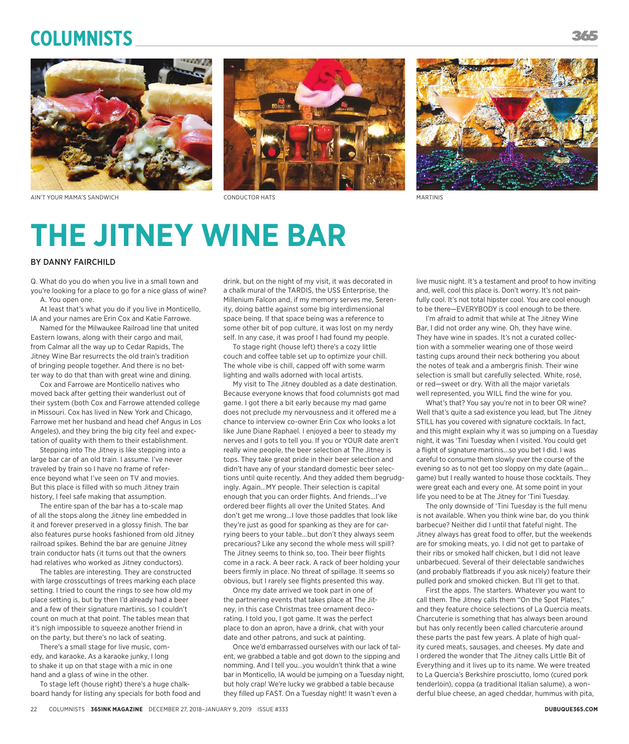# **Columnists**







AIN'T YOUR MAMA'S SANDWICH CONDUCTOR HATS MARTINIS

# **THE JITNEY WINE BAR**

### BY DANNY FAIRCHILD

Q. What do you do when you live in a small town and you're looking for a place to go for a nice glass of wine? A. You open one.

At least that's what you do if you live in Monticello, IA and your names are Erin Cox and Katie Farrowe.

Named for the Milwaukee Railroad line that united Eastern Iowans, along with their cargo and mail, from Calmar all the way up to Cedar Rapids, The Jitney Wine Bar resurrects the old train's tradition of bringing people together. And there is no better way to do that than with great wine and dining.

Cox and Farrowe are Monticello natives who moved back after getting their wanderlust out of their system (both Cox and Farrowe attended college in Missouri. Cox has lived in New York and Chicago, Farrowe met her husband and head chef Angus in Los Angeles), and they bring the big city feel and expectation of quality with them to their establishment.

Stepping into The Jitney is like stepping into a large bar car of an old train. I assume. I've never traveled by train so I have no frame of reference beyond what I've seen on TV and movies. But this place is filled with so much Jitney train history, I feel safe making that assumption.

The entire span of the bar has a to-scale map of all the stops along the Jitney line embedded in it and forever preserved in a glossy finish. The bar also features purse hooks fashioned from old Jitney railroad spikes. Behind the bar are genuine Jitney train conductor hats (it turns out that the owners had relatives who worked as Jitney conductors).

The tables are interesting. They are constructed with large crosscuttings of trees marking each place setting. I tried to count the rings to see how old my place setting is, but by then I'd already had a beer and a few of their signature martinis, so I couldn't count on much at that point. The tables mean that it's nigh impossible to squeeze another friend in on the party, but there's no lack of seating.

There's a small stage for live music, comedy, and karaoke. As a karaoke junky, I long to shake it up on that stage with a mic in one hand and a glass of wine in the other.

To stage left (house right) there's a huge chalkboard handy for listing any specials for both food and

drink, but on the night of my visit, it was decorated in a chalk mural of the TARDIS, the USS Enterprise, the Millenium Falcon and, if my memory serves me, Serenity, doing battle against some big interdimensional space being. If that space being was a reference to some other bit of pop culture, it was lost on my nerdy self. In any case, it was proof I had found my people.

To stage right (house left) there's a cozy little couch and coffee table set up to optimize your chill. The whole vibe is chill, capped off with some warm lighting and walls adorned with local artists.

My visit to The Jitney doubled as a date destination. Because everyone knows that food columnists got mad game. I got there a bit early because my mad game does not preclude my nervousness and it offered me a chance to interview co-owner Erin Cox who looks a lot like June Diane Raphael. I enjoyed a beer to steady my nerves and I gots to tell you. If you or YOUR date aren't really wine people, the beer selection at The Jitney is tops. They take great pride in their beer selection and didn't have any of your standard domestic beer selections until quite recently. And they added them begrudgingly. Again...MY people. Their selection is capital enough that you can order flights. And friends...I've ordered beer flights all over the United States. And don't get me wrong...I love those paddles that look like they're just as good for spanking as they are for carrying beers to your table...but don't they always seem precarious? Like any second the whole mess will spill? The Jitney seems to think so, too. Their beer flights come in a rack. A beer rack. A rack of beer holding your beers firmly in place. No threat of spillage. It seems so obvious, but I rarely see flights presented this way.

Once my date arrived we took part in one of the partnering events that takes place at The Jitney, in this case Christmas tree ornament decorating. I told you, I got game. It was the perfect place to don an apron, have a drink, chat with your date and other patrons, and suck at painting.

Once we'd embarrassed ourselves with our lack of talent, we grabbed a table and got down to the sipping and nomming. And I tell you...you wouldn't think that a wine bar in Monticello, IA would be jumping on a Tuesday night, but holy crap! We're lucky we grabbed a table because they filled up FAST. On a Tuesday night! It wasn't even a

live music night. It's a testament and proof to how inviting and, well, cool this place is. Don't worry. It's not painfully cool. It's not total hipster cool. You are cool enough to be there—EVERYBODY is cool enough to be there.

I'm afraid to admit that while at The Jitney Wine Bar, I did not order any wine. Oh, they have wine. They have wine in spades. It's not a curated collection with a sommelier wearing one of those weird tasting cups around their neck bothering you about the notes of teak and a ambergris finish. Their wine selection is small but carefully selected. White, rosé, or red—sweet or dry. With all the major varietals well represented, you WILL find the wine for you.

What's that? You say you're not in to beer OR wine? Well that's quite a sad existence you lead, but The Jitney STILL has you covered with signature cocktails. In fact, and this might explain why it was so jumping on a Tuesday night, it was 'Tini Tuesday when I visited. You could get a flight of signature martinis...so you bet I did. I was careful to consume them slowly over the course of the evening so as to not get too sloppy on my date (again... game) but I really wanted to house those cocktails. They were great each and every one. At some point in your life you need to be at The Jitney for 'Tini Tuesday.

The only downside of 'Tini Tuesday is the full menu is not available. When you think wine bar, do you think barbecue? Neither did I until that fateful night. The Jitney always has great food to offer, but the weekends are for smoking meats, yo. I did not get to partake of their ribs or smoked half chicken, but I did not leave unbarbecued. Several of their delectable sandwiches (and probably flatbreads if you ask nicely) feature their pulled pork and smoked chicken. But I'll get to that.

First the apps. The starters. Whatever you want to call them. The Jitney calls them "On the Spot Plates," and they feature choice selections of La Quercia meats. Charcuterie is something that has always been around but has only recently been called charcuterie around these parts the past few years. A plate of high quality cured meats, sausages, and cheeses. My date and I ordered the wonder that The Jitney calls Little Bit of Everything and it lives up to its name. We were treated to La Quercia's Berkshire prosciutto, lomo (cured pork tenderloin), coppa (a traditional Italian salume), a wonderful blue cheese, an aged cheddar, hummus with pita,